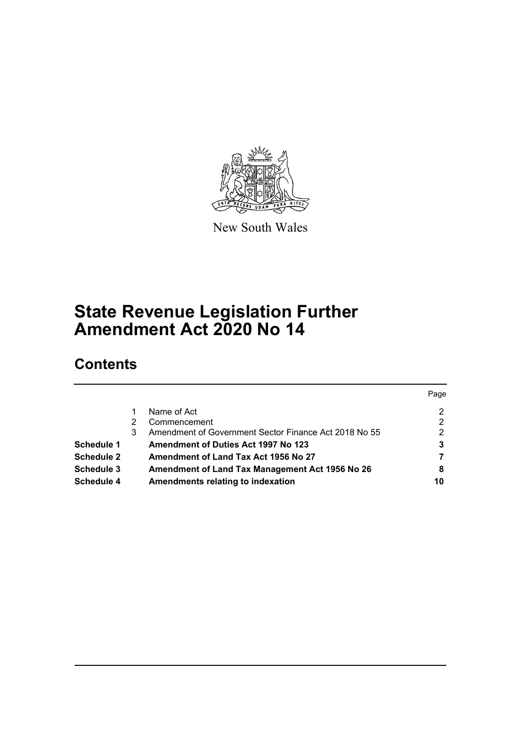

New South Wales

# **State Revenue Legislation Further Amendment Act 2020 No 14**

# **Contents**

|                   |   |                                                       | Page          |
|-------------------|---|-------------------------------------------------------|---------------|
|                   |   | Name of Act                                           | 2             |
|                   | 2 | Commencement                                          | 2             |
|                   | 3 | Amendment of Government Sector Finance Act 2018 No 55 | $\mathcal{P}$ |
| Schedule 1        |   | <b>Amendment of Duties Act 1997 No 123</b>            | 3             |
| <b>Schedule 2</b> |   | Amendment of Land Tax Act 1956 No 27                  |               |
| Schedule 3        |   | Amendment of Land Tax Management Act 1956 No 26       | 8             |
| <b>Schedule 4</b> |   | Amendments relating to indexation                     | 10            |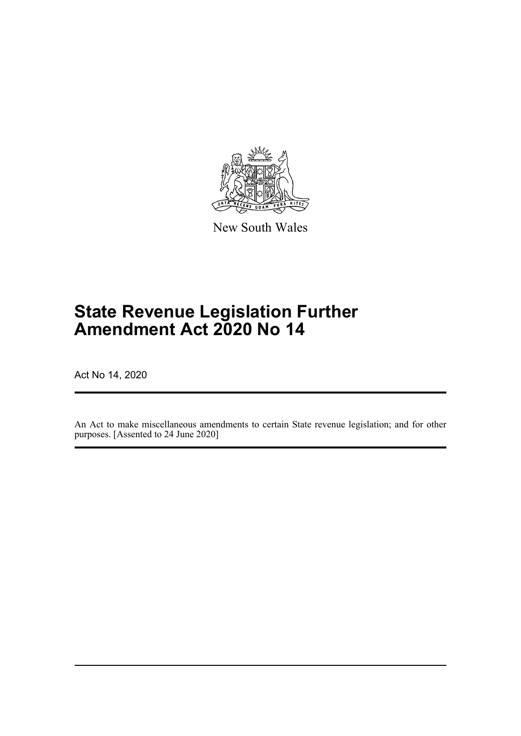

New South Wales

# **State Revenue Legislation Further Amendment Act 2020 No 14**

Act No 14, 2020

An Act to make miscellaneous amendments to certain State revenue legislation; and for other purposes. [Assented to 24 June 2020]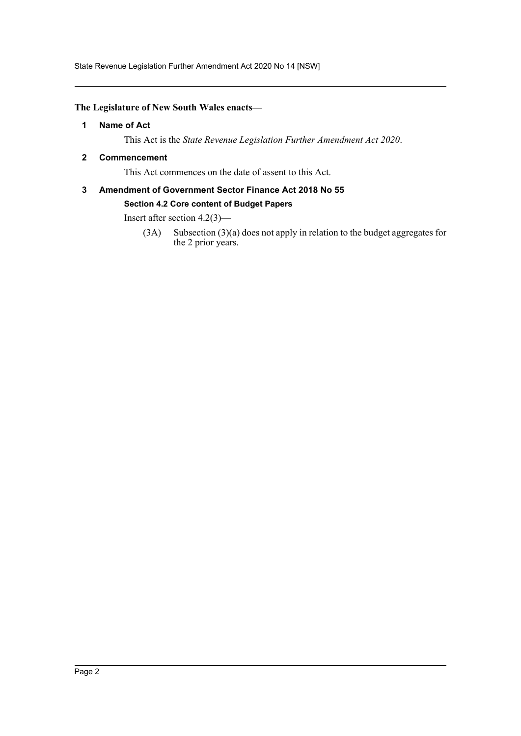State Revenue Legislation Further Amendment Act 2020 No 14 [NSW]

#### <span id="page-2-0"></span>**The Legislature of New South Wales enacts—**

#### **1 Name of Act**

This Act is the *State Revenue Legislation Further Amendment Act 2020*.

#### <span id="page-2-1"></span>**2 Commencement**

This Act commences on the date of assent to this Act.

### <span id="page-2-2"></span>**3 Amendment of Government Sector Finance Act 2018 No 55 Section 4.2 Core content of Budget Papers**

Insert after section 4.2(3)—

(3A) Subsection (3)(a) does not apply in relation to the budget aggregates for the 2 prior years.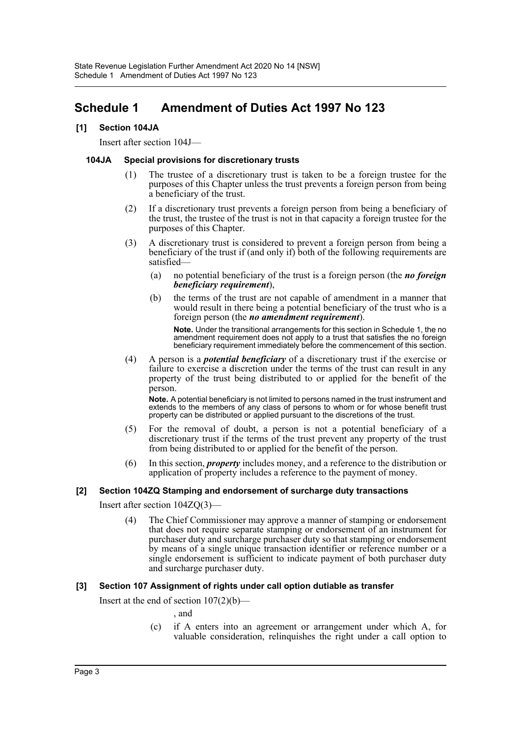## <span id="page-3-0"></span>**Schedule 1 Amendment of Duties Act 1997 No 123**

#### **[1] Section 104JA**

Insert after section 104J—

#### **104JA Special provisions for discretionary trusts**

- (1) The trustee of a discretionary trust is taken to be a foreign trustee for the purposes of this Chapter unless the trust prevents a foreign person from being a beneficiary of the trust.
- (2) If a discretionary trust prevents a foreign person from being a beneficiary of the trust, the trustee of the trust is not in that capacity a foreign trustee for the purposes of this Chapter.
- (3) A discretionary trust is considered to prevent a foreign person from being a beneficiary of the trust if (and only if) both of the following requirements are satisfied—
	- (a) no potential beneficiary of the trust is a foreign person (the *no foreign beneficiary requirement*),
	- (b) the terms of the trust are not capable of amendment in a manner that would result in there being a potential beneficiary of the trust who is a foreign person (the *no amendment requirement*).

**Note.** Under the transitional arrangements for this section in Schedule 1, the no amendment requirement does not apply to a trust that satisfies the no foreign beneficiary requirement immediately before the commencement of this section.

(4) A person is a *potential beneficiary* of a discretionary trust if the exercise or failure to exercise a discretion under the terms of the trust can result in any property of the trust being distributed to or applied for the benefit of the person.

**Note.** A potential beneficiary is not limited to persons named in the trust instrument and extends to the members of any class of persons to whom or for whose benefit trust property can be distributed or applied pursuant to the discretions of the trust.

- (5) For the removal of doubt, a person is not a potential beneficiary of a discretionary trust if the terms of the trust prevent any property of the trust from being distributed to or applied for the benefit of the person.
- (6) In this section, *property* includes money, and a reference to the distribution or application of property includes a reference to the payment of money.

#### **[2] Section 104ZQ Stamping and endorsement of surcharge duty transactions**

Insert after section 104ZQ(3)—

(4) The Chief Commissioner may approve a manner of stamping or endorsement that does not require separate stamping or endorsement of an instrument for purchaser duty and surcharge purchaser duty so that stamping or endorsement by means of a single unique transaction identifier or reference number or a single endorsement is sufficient to indicate payment of both purchaser duty and surcharge purchaser duty.

#### **[3] Section 107 Assignment of rights under call option dutiable as transfer**

Insert at the end of section  $107(2)(b)$ —

- , and
- (c) if A enters into an agreement or arrangement under which A, for valuable consideration, relinquishes the right under a call option to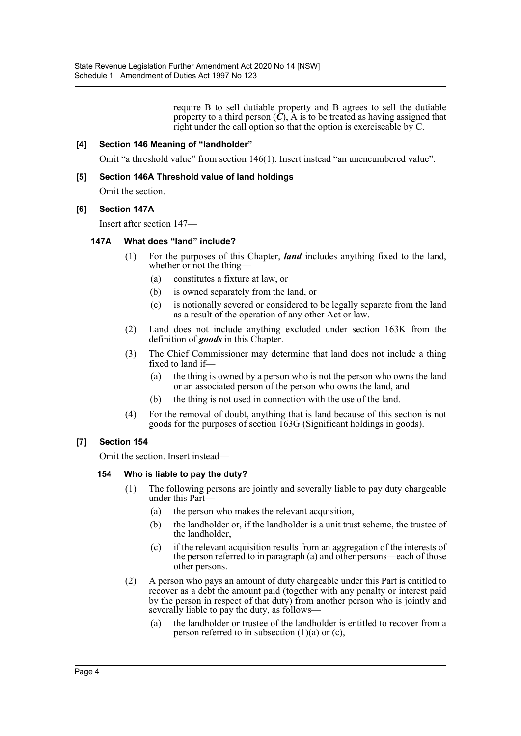require B to sell dutiable property and B agrees to sell the dutiable property to a third person  $(C)$ , A is to be treated as having assigned that right under the call option so that the option is exerciseable by C.

#### **[4] Section 146 Meaning of "landholder"**

Omit "a threshold value" from section 146(1). Insert instead "an unencumbered value".

#### **[5] Section 146A Threshold value of land holdings**

Omit the section.

#### **[6] Section 147A**

Insert after section 147—

#### **147A What does "land" include?**

- (1) For the purposes of this Chapter, *land* includes anything fixed to the land, whether or not the thing-
	- (a) constitutes a fixture at law, or
	- (b) is owned separately from the land, or
	- (c) is notionally severed or considered to be legally separate from the land as a result of the operation of any other Act or law.
- (2) Land does not include anything excluded under section 163K from the definition of *goods* in this Chapter.
- (3) The Chief Commissioner may determine that land does not include a thing fixed to land if—
	- (a) the thing is owned by a person who is not the person who owns the land or an associated person of the person who owns the land, and
	- (b) the thing is not used in connection with the use of the land.
- (4) For the removal of doubt, anything that is land because of this section is not goods for the purposes of section 163G (Significant holdings in goods).

#### **[7] Section 154**

Omit the section. Insert instead—

#### **154 Who is liable to pay the duty?**

- (1) The following persons are jointly and severally liable to pay duty chargeable under this Part—
	- (a) the person who makes the relevant acquisition,
	- (b) the landholder or, if the landholder is a unit trust scheme, the trustee of the landholder,
	- (c) if the relevant acquisition results from an aggregation of the interests of the person referred to in paragraph (a) and other persons—each of those other persons.
- (2) A person who pays an amount of duty chargeable under this Part is entitled to recover as a debt the amount paid (together with any penalty or interest paid by the person in respect of that duty) from another person who is jointly and severally liable to pay the duty, as follows—
	- (a) the landholder or trustee of the landholder is entitled to recover from a person referred to in subsection  $(1)(a)$  or  $(c)$ ,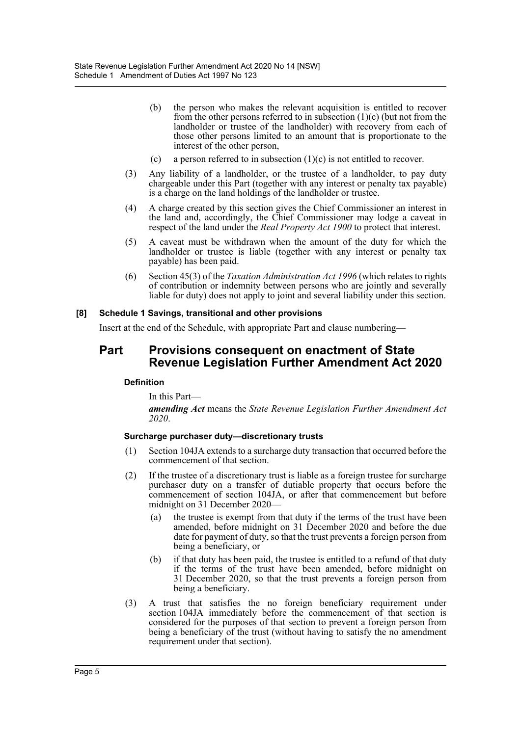- (b) the person who makes the relevant acquisition is entitled to recover from the other persons referred to in subsection  $(1)(c)$  (but not from the landholder or trustee of the landholder) with recovery from each of those other persons limited to an amount that is proportionate to the interest of the other person,
- (c) a person referred to in subsection  $(1)(c)$  is not entitled to recover.
- (3) Any liability of a landholder, or the trustee of a landholder, to pay duty chargeable under this Part (together with any interest or penalty tax payable) is a charge on the land holdings of the landholder or trustee.
- (4) A charge created by this section gives the Chief Commissioner an interest in the land and, accordingly, the Chief Commissioner may lodge a caveat in respect of the land under the *Real Property Act 1900* to protect that interest.
- (5) A caveat must be withdrawn when the amount of the duty for which the landholder or trustee is liable (together with any interest or penalty tax payable) has been paid.
- (6) Section 45(3) of the *Taxation Administration Act 1996* (which relates to rights of contribution or indemnity between persons who are jointly and severally liable for duty) does not apply to joint and several liability under this section.

#### **[8] Schedule 1 Savings, transitional and other provisions**

Insert at the end of the Schedule, with appropriate Part and clause numbering—

#### **Part Provisions consequent on enactment of State Revenue Legislation Further Amendment Act 2020**

#### **Definition**

In this Part—

*amending Act* means the *State Revenue Legislation Further Amendment Act 2020*.

#### **Surcharge purchaser duty—discretionary trusts**

- (1) Section 104JA extends to a surcharge duty transaction that occurred before the commencement of that section.
- (2) If the trustee of a discretionary trust is liable as a foreign trustee for surcharge purchaser duty on a transfer of dutiable property that occurs before the commencement of section 104JA, or after that commencement but before midnight on 31 December 2020—
	- (a) the trustee is exempt from that duty if the terms of the trust have been amended, before midnight on 31 December 2020 and before the due date for payment of duty, so that the trust prevents a foreign person from being a beneficiary, or
	- (b) if that duty has been paid, the trustee is entitled to a refund of that duty if the terms of the trust have been amended, before midnight on 31 December 2020, so that the trust prevents a foreign person from being a beneficiary.
- (3) A trust that satisfies the no foreign beneficiary requirement under section 104JA immediately before the commencement of that section is considered for the purposes of that section to prevent a foreign person from being a beneficiary of the trust (without having to satisfy the no amendment requirement under that section).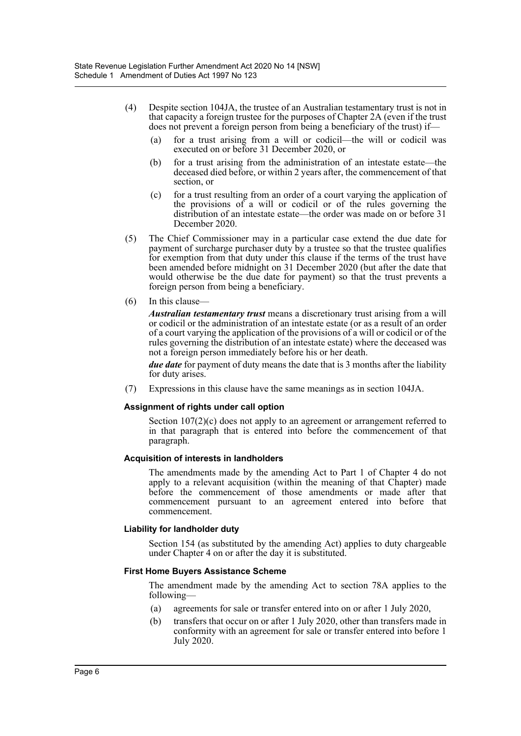- (4) Despite section 104JA, the trustee of an Australian testamentary trust is not in that capacity a foreign trustee for the purposes of Chapter 2A (even if the trust does not prevent a foreign person from being a beneficiary of the trust) if—
	- (a) for a trust arising from a will or codicil—the will or codicil was executed on or before 31 December 2020, or
	- (b) for a trust arising from the administration of an intestate estate—the deceased died before, or within 2 years after, the commencement of that section, or
	- (c) for a trust resulting from an order of a court varying the application of the provisions of a will or codicil or of the rules governing the distribution of an intestate estate—the order was made on or before 31 December 2020.
- (5) The Chief Commissioner may in a particular case extend the due date for payment of surcharge purchaser duty by a trustee so that the trustee qualifies for exemption from that duty under this clause if the terms of the trust have been amended before midnight on 31 December 2020 (but after the date that would otherwise be the due date for payment) so that the trust prevents a foreign person from being a beneficiary.
- (6) In this clause—

*Australian testamentary trust* means a discretionary trust arising from a will or codicil or the administration of an intestate estate (or as a result of an order of a court varying the application of the provisions of a will or codicil or of the rules governing the distribution of an intestate estate) where the deceased was not a foreign person immediately before his or her death.

*due date* for payment of duty means the date that is 3 months after the liability for duty arises.

(7) Expressions in this clause have the same meanings as in section 104JA.

#### **Assignment of rights under call option**

Section 107(2)(c) does not apply to an agreement or arrangement referred to in that paragraph that is entered into before the commencement of that paragraph.

#### **Acquisition of interests in landholders**

The amendments made by the amending Act to Part 1 of Chapter 4 do not apply to a relevant acquisition (within the meaning of that Chapter) made before the commencement of those amendments or made after that commencement pursuant to an agreement entered into before that commencement.

#### **Liability for landholder duty**

Section 154 (as substituted by the amending Act) applies to duty chargeable under Chapter 4 on or after the day it is substituted.

#### **First Home Buyers Assistance Scheme**

The amendment made by the amending Act to section 78A applies to the following—

- (a) agreements for sale or transfer entered into on or after 1 July 2020,
- (b) transfers that occur on or after 1 July 2020, other than transfers made in conformity with an agreement for sale or transfer entered into before 1 July 2020.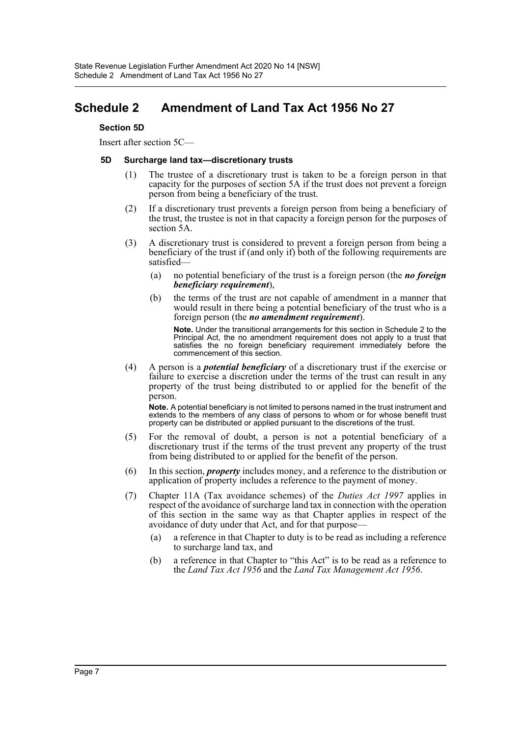### <span id="page-7-0"></span>**Schedule 2 Amendment of Land Tax Act 1956 No 27**

#### **Section 5D**

Insert after section 5C—

#### **5D Surcharge land tax—discretionary trusts**

- (1) The trustee of a discretionary trust is taken to be a foreign person in that capacity for the purposes of section 5A if the trust does not prevent a foreign person from being a beneficiary of the trust.
- (2) If a discretionary trust prevents a foreign person from being a beneficiary of the trust, the trustee is not in that capacity a foreign person for the purposes of section 5A.
- (3) A discretionary trust is considered to prevent a foreign person from being a beneficiary of the trust if (and only if) both of the following requirements are satisfied—
	- (a) no potential beneficiary of the trust is a foreign person (the *no foreign beneficiary requirement*),
	- (b) the terms of the trust are not capable of amendment in a manner that would result in there being a potential beneficiary of the trust who is a foreign person (the *no amendment requirement*).

**Note.** Under the transitional arrangements for this section in Schedule 2 to the Principal Act, the no amendment requirement does not apply to a trust that satisfies the no foreign beneficiary requirement immediately before the commencement of this section.

(4) A person is a *potential beneficiary* of a discretionary trust if the exercise or failure to exercise a discretion under the terms of the trust can result in any property of the trust being distributed to or applied for the benefit of the person.

**Note.** A potential beneficiary is not limited to persons named in the trust instrument and extends to the members of any class of persons to whom or for whose benefit trust property can be distributed or applied pursuant to the discretions of the trust.

- (5) For the removal of doubt, a person is not a potential beneficiary of a discretionary trust if the terms of the trust prevent any property of the trust from being distributed to or applied for the benefit of the person.
- (6) In this section, *property* includes money, and a reference to the distribution or application of property includes a reference to the payment of money.
- (7) Chapter 11A (Tax avoidance schemes) of the *Duties Act 1997* applies in respect of the avoidance of surcharge land tax in connection with the operation of this section in the same way as that Chapter applies in respect of the avoidance of duty under that Act, and for that purpose—
	- (a) a reference in that Chapter to duty is to be read as including a reference to surcharge land tax, and
	- (b) a reference in that Chapter to "this Act" is to be read as a reference to the *Land Tax Act 1956* and the *Land Tax Management Act 1956*.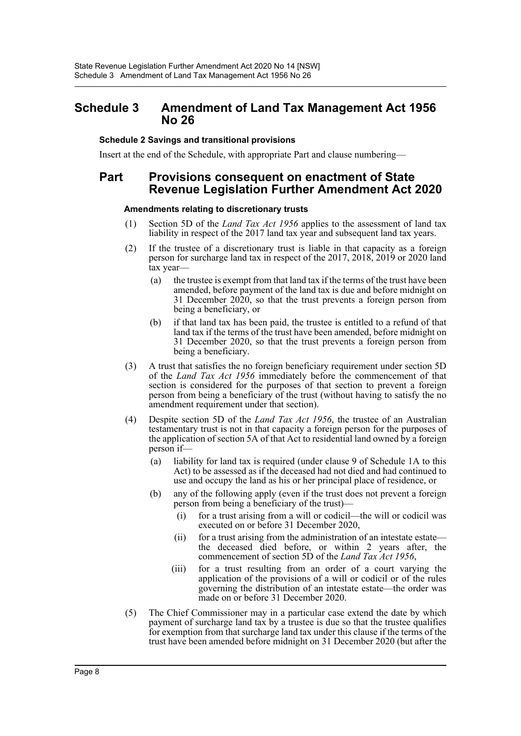### <span id="page-8-0"></span>**Schedule 3 Amendment of Land Tax Management Act 1956 No 26**

#### **Schedule 2 Savings and transitional provisions**

Insert at the end of the Schedule, with appropriate Part and clause numbering—

### **Part Provisions consequent on enactment of State Revenue Legislation Further Amendment Act 2020**

#### **Amendments relating to discretionary trusts**

- (1) Section 5D of the *Land Tax Act 1956* applies to the assessment of land tax liability in respect of the 2017 land tax year and subsequent land tax years.
- (2) If the trustee of a discretionary trust is liable in that capacity as a foreign person for surcharge land tax in respect of the 2017, 2018, 2019 or 2020 land tax year—
	- (a) the trustee is exempt from that land tax if the terms of the trust have been amended, before payment of the land tax is due and before midnight on 31 December 2020, so that the trust prevents a foreign person from being a beneficiary, or
	- (b) if that land tax has been paid, the trustee is entitled to a refund of that land tax if the terms of the trust have been amended, before midnight on 31 December 2020, so that the trust prevents a foreign person from being a beneficiary.
- (3) A trust that satisfies the no foreign beneficiary requirement under section 5D of the *Land Tax Act 1956* immediately before the commencement of that section is considered for the purposes of that section to prevent a foreign person from being a beneficiary of the trust (without having to satisfy the no amendment requirement under that section).
- (4) Despite section 5D of the *Land Tax Act 1956*, the trustee of an Australian testamentary trust is not in that capacity a foreign person for the purposes of the application of section 5A of that Act to residential land owned by a foreign person if—
	- (a) liability for land tax is required (under clause 9 of Schedule 1A to this Act) to be assessed as if the deceased had not died and had continued to use and occupy the land as his or her principal place of residence, or
	- (b) any of the following apply (even if the trust does not prevent a foreign person from being a beneficiary of the trust)—
		- (i) for a trust arising from a will or codicil—the will or codicil was executed on or before 31 December 2020,
		- (ii) for a trust arising from the administration of an intestate estate the deceased died before, or within 2 years after, the commencement of section 5D of the *Land Tax Act 1956*,
		- (iii) for a trust resulting from an order of a court varying the application of the provisions of a will or codicil or of the rules governing the distribution of an intestate estate—the order was made on or before 31 December 2020.
- (5) The Chief Commissioner may in a particular case extend the date by which payment of surcharge land tax by a trustee is due so that the trustee qualifies for exemption from that surcharge land tax under this clause if the terms of the trust have been amended before midnight on 31 December 2020 (but after the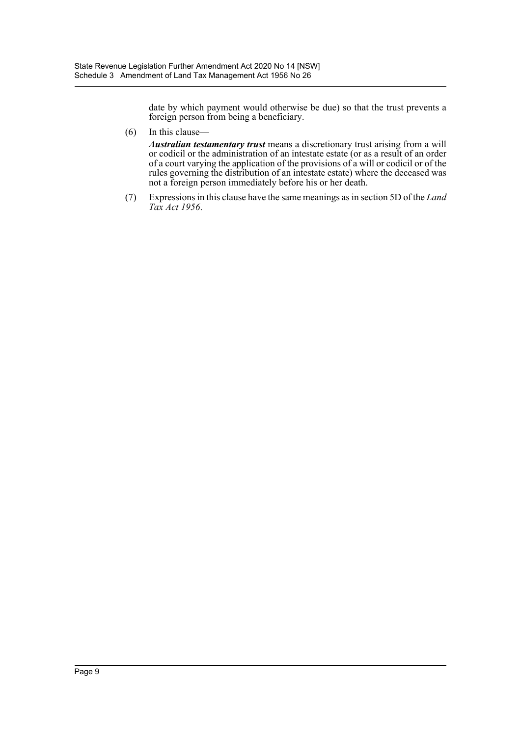date by which payment would otherwise be due) so that the trust prevents a foreign person from being a beneficiary.

(6) In this clause—

*Australian testamentary trust* means a discretionary trust arising from a will or codicil or the administration of an intestate estate (or as a result of an order of a court varying the application of the provisions of a will or codicil or of the rules governing the distribution of an intestate estate) where the deceased was not a foreign person immediately before his or her death.

(7) Expressions in this clause have the same meanings as in section 5D of the *Land Tax Act 1956*.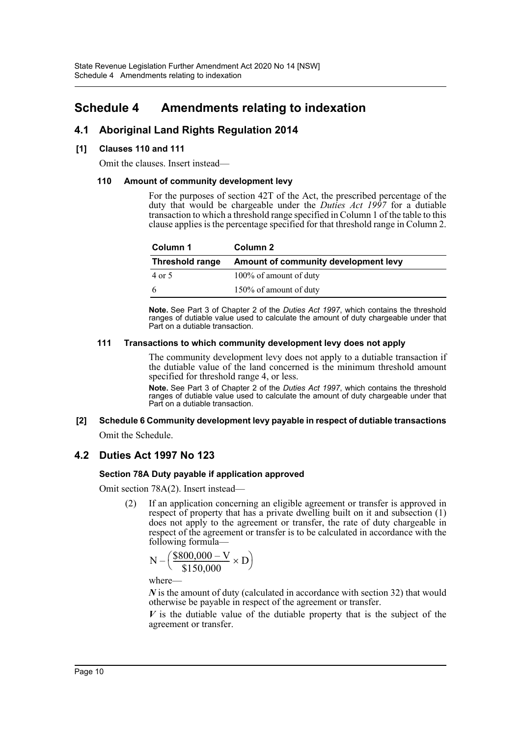### <span id="page-10-0"></span>**Schedule 4 Amendments relating to indexation**

### **4.1 Aboriginal Land Rights Regulation 2014**

#### **[1] Clauses 110 and 111**

Omit the clauses. Insert instead—

#### **110 Amount of community development levy**

For the purposes of section 42T of the Act, the prescribed percentage of the duty that would be chargeable under the *Duties Act 1997* for a dutiable transaction to which a threshold range specified in Column 1 of the table to this clause applies is the percentage specified for that threshold range in Column 2.

| Column 1               | Column 2                             |  |
|------------------------|--------------------------------------|--|
| <b>Threshold range</b> | Amount of community development levy |  |
| 4 or 5                 | 100% of amount of duty               |  |
| -6                     | 150% of amount of duty               |  |

**Note.** See Part 3 of Chapter 2 of the *Duties Act 1997*, which contains the threshold ranges of dutiable value used to calculate the amount of duty chargeable under that Part on a dutiable transaction.

#### **111 Transactions to which community development levy does not apply**

The community development levy does not apply to a dutiable transaction if the dutiable value of the land concerned is the minimum threshold amount specified for threshold range 4, or less.

**Note.** See Part 3 of Chapter 2 of the *Duties Act 1997*, which contains the threshold ranges of dutiable value used to calculate the amount of duty chargeable under that Part on a dutiable transaction.

#### **[2] Schedule 6 Community development levy payable in respect of dutiable transactions** Omit the Schedule.

# **4.2 Duties Act 1997 No 123**

### **Section 78A Duty payable if application approved**

Omit section 78A(2). Insert instead—

(2) If an application concerning an eligible agreement or transfer is approved in respect of property that has a private dwelling built on it and subsection (1) does not apply to the agreement or transfer, the rate of duty chargeable in respect of the agreement or transfer is to be calculated in accordance with the following formula—

$$
N - \left(\frac{\$800,000 - V}{\$150,000} \times D\right)
$$

where—

*N* is the amount of duty (calculated in accordance with section 32) that would otherwise be payable in respect of the agreement or transfer.

*V* is the dutiable value of the dutiable property that is the subject of the agreement or transfer.